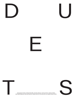







Sampada Aranke, Atheel Elmalik, Amarie Gipson, Hanna Girma, Yelena Keller,<br>Keli Safia Maksud, Rachell Morillo. Edited with an introduction by Sable Elyse Smith.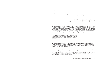*"In the beginning there were no words. In the beginning was the sound and they all know what the sound sounded like."*

*— Toni Morrison,* Beloved

through our streets our cement our stucco and wood and vinyl and plastic and dirt and detritus and water and spills and spillage and the slickness under our pinning toes down to toe touch. Cracked bones and rank contortions. It's in every single fucking thing. Wild sinuous whisper whipping through brown latched streets. Do you see it now. Whole breath conjured to push it out. Whole breath belly laughed forward, forward, forward.

*"I wrote sentences about space so that I could stand up and walk down that hill. I wrote them, because the hill was too steep to descend gracefully with your body upright and steady. Spaces moaned when you crossed them; they didn't know how to hold you."* 

*— Renee Gladman,* Ana Patova Crosses a Bridge

The sound folded itself, folded you up, handed you around in a common sound/note/cluck thrusted out the mouth by the tongue. It threw you out sometimes and you ran back in. Dropped off by the wind sometimes it climbed up in your ear. And it was Marvin Gaye moaning or it was Alice Coltrane coltraning or it was N.W.A saying fuck everything single gotdamn thing and on top of that fuck the police. Or it was the siren or it was the lovemaking coming through the wall or it was the creek of the door opening or your mama's keys in the lock heart stopping you dead in your tracks, scrambling to straighten up or pretend sleep or to sneak out whatever body was there in your room hot on the verge of entering and sweaty—

When I say music I don't always mean the radio. Or a melody, or a rhythm or a blues, or a sweet lyric riding the underside of a G chord. When I say music I mean a scaffolding with a thin metal mesh so that parts of the other side are visible and parts are not, parts obscured. And the other side can represent an x, y or z space positionality and then something curved and altogether divergent from that. Because the music can get inside. The pulse is a makeshift roof over our heads. It's tin, percussive as the rain collects. In a timespace where teeth sucked is telecommunication.

The sound you can be in and on top of and wrapped up by and wrapped in and swaddled and thrusted through. The sound can sit between us mean as all out doors. The sound can take your breath away, as in reach down and inside and snatch it out of you—some cored vessel you become. But the resonance still lingering in your toes, felt and no longer heard.

*Do you remember the first time you heard the sound your own voice?*

*"I wrote sentences about space so that I could stand up and walk down that hill. I wrote them, because the hill was too steep to descend gracefully with your body upright and steady. Spaces moaned when you crossed them; they didn't know how to hold you."* 

*— Renee Gladman,* Ana Patova Crosses a Bridge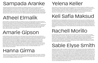Sampada Aranke (PhD, Performance Studies) is an Assistant Professor in the Art History, Theory, and Criticism Department at the School of the Art Institute, Chicago. Her research interests include performance theories of embodiment, visual culture, and black cultural and aesthetic theory. Her work has been published in *e-flux, Artforum, Art Journal, ASAP/J,* and *October*. She has written catalogue essays for Sadie Barnette, Betye Saar, Rashid Johnson, Faith Ringgold, Kambui Olujimi, Sable Elyse Smith, and Zachary Fabri. She is the recipient of the 2021 Art Journal Award for her article "Blackouts and Other Visual Escapes." Her book, *Death's Futurity: The Visual Life of Black Power*, will be published by Duke University Press in early 2023.

# Sampada Aranke

Atheel Elmalik is a writer and filmmaker committed to the work of rendering Black and African diasporic life onscreen with specificity. She is interested in exploring liberated relationships of people to land and one another through stories of movement and migration, queerness, intergenerational healing, and connection to the sentience of the more-than-human world. Atheel comes to this work from a background in anthropology, and a curatorial career at such art institutions as the Museum of Modern Art in New York, and Yerba Buena Center for the Arts in San Francisco. After spending the last two years managing artist Arthur Jafa's art studio in Los Angeles, she is currently developing her first narrative film through Jafa's newly formed film studio, SunHaus.

# Atheel Elmalik

Amarie Gipson is a writer, art worker, and DJ. She earned a BA in Liberal Studies (with concentrations in Art History & Philosophy) and Sociology from St. Edward's University in Austin, Texas (2018). Gipson has held curatorial positions at the Studio Museum in Harlem, the Renaissance Society, the Art Institute of Chicago, the Contemporary Austin, and the Museum of Fine Arts, Houston. Independently, her work has been published in several journals and magazines, including *Artforum, ARTNews, ARTS.BLACK, Gulf Coast,* and *THE SEEN*. She is an alumnus of the Mellon Undergraduate Curatorial Fellowship, DAMLI Emerging Art Leader program, and the Momus Emerging Critics Residency. Gipson is dedicated to ensuring that scholarly discussions of Black cultural production are accessible and carefully historicized. Her research and writing interests range from Black feminist theory and experimental cinema to Southern hip-hop and culture. She is the former Editorial Director of *MUD Magazine* and currently works full time as the Arts & Culture editor of *Houstonia Magazine*. Gipson authors The Art of Return, a monthly newsletter on art, culture, and Black womanhood.

## Amarie Gipson

Hanna Girma is a London-based writer and curator. She is currently Senior Editor and Curator of Editorial Projects at Serpentine Galleries. Prior to this role, she held positions at the Museum of Modern Art in New York, the Studio Museum in Harlem, and the Mistake Room in Los Angeles. Girma has a BA in World Arts and Cultures and Digital Humanities from UCLA.

### Hanna Girma

Yelena Keller is a writer and curator currently working as the Curatorial Assistant of Exhibitions at Studio Museum in Harlem. Most recently, Yelena co-organized *(Never) As I Was: Studio Museum Artists in Residence 2020–21* with Studio Museum's Associate Curator of Exhibitions, Legacy Russell, featuring new work by artists Jacolby Satterwhite, Genesis Jerez, Widline Cadet, and Texas Isaiah. Other projects include: *Projects: Kahlil Robert Irving* (2021) and *Projects: Garrett Bradley* (2020) at MoMA*, This Longing Vessel* (2020) at MoMA PS1*, Thomas J Price: Witness* (2021)*, Dozie Kanu: Function* (2019), and *Chloë Bass: Wayfinding* (2019).

# Yelena Keller

Keli Safia Maksud is an interdisciplinary artist and writer working in sound, sculpture, installation, text, and embroidery. Concerned with histories of colonial encounters and their effects on memory, Maksud's practice favors the space of in-between and its threshold and works toward destabilizing received histories in order to expose fictions of the state. Maksud earned her BFA in Painting from the Ontario College of Art and Design University, a Diploma in Art and Curatorial Studies from the New Centre for Research and Practice and an MFA in Visual Arts from Columbia University. Her work has been shown at the Bamako Biennial, National Museum of Contemporary Art - Seoul, Galería Nueva, and the Biennial of Contemporary Art Sesc\_Videobrasil.

# Keli Safia Maksud

Rachell Morillo is a Black feminist writer, educator, and artist from the Dominican Republic. Her writing has been published in *Hyperallergic, THE SEEN, Intense Art Magazine,* and the *Art Momentum,* as well as the Studio Museum's *Black Refractions* and *Fictions* catalogues. Rachell's creative practice includes photography, ceramics, bookmaking, and poetry. Guiding both her writing and making processes are interests in Black queer theory, critical fabulation, and embodiment as knowledge production. Rachell earned a BA in Sociology & Anthropology from Swarthmore College and is currently Assistant Educator for Community & Access programs at the Museum of Modern Art, where she crafts conditions for individuals to practice self-determination and create new possibilities.

# Rachell Morillo

Sable Elyse Smith (b. 1986, Los Angeles, California) points to the carceral, the personal, the political, and the quotidian to speak about a violence that is largely unseen, and potentially imperceptible. Sable Elyse Smith was included in *Marking Time: Art in the Age of Mass Incarceration* at MoMA PS1, New York, NY; *Grief and Grievance: Art and Mourning in America* at the New Museum, New York, NY; *and Climate Changing* at the Wexner Center of the Arts in Columbus, OH. Most recently, her work was on view at the MIT List Visual Arts Center in Cambridge, MA, as part of *Colored People Time*, which traveled from the ICA Philadelphia. Her work was included in *Great Force* at the ICA at Virginia Commonwealth University, and solo shows include the Queens Museum in New York, NY, and the Haggerty Museum in Milwaukee, WI. Smith was a 2018–19 artist-in-residence at the Studio Museum in Harlem, which culminated in an exhibition at MoMA PS1. Her work has been included in numerous group exhibitions, including the High Line, New York, NY, for which she also curated an event at the Kitchen, New York, NY; the Contemporary Art Museum, Houston, TX; SITE Santa Fe, NM; Brooklyn Academy of Music, New York, NY; the New Museum, New York, NY; the Studio Museum in Harlem, NY; Socrates Sculpture Park, New York, NY; and El Museo del Barrio, New York, NY.

# Sable Elyse Smith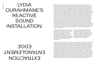# EXTRACTION ENTANGLEMENT EDGE

# LYDIA OURAHMANE'S REACTIVE SOUND INSTALLATION:

What are you? I wonder how you came to take your shape? Made of glass, I wonder who blew you into it? There is unevenness to your surface. Bumps and folds that make you look alive. As though you, perhaps, recently contorted into that position. And that you might soon move again. I wonder if you are intentionally escaping legibility—unrecognizable and uncategorizable. Strange yet attractive, with your almost phallic presence—interjecting in and receiving from the sonic landscape. But back to your folds, the unevenness of your surface—you are breathing, moving. Your sentience echoing through the sounds you make. The sounds you listen to. And how you shrink the distance between those—what comes in and what goes out are always creating one another. An inhale, an exhale, a whisper. In a world where we are so concerned with the edge of where one thing ends and another begins, thank you for troubling that. What's inside you and what's outside you are creating one another. A microphone, a listening device, a transmitter. You listen for footsteps nearby, conversations, breath, the sounds of artworks nearby: Cudelice Brazelton IV's *Counterpoint* gives you the sound of water flowing, coming from a river in Tbilisi, and the sounds of rubble, coming from a construction site in Paris. Sounds of the Earth giving us access to her most precious resource. And sounds of humans opening her body to build. Extraction. What does extraction sound like when laid over the sounds of humans walking close to you? Sondra Perry's *Title TK 5* offers you a computerized voice recounting a lawsuit filed by Perry's brother against EA Games for using his likeness in a video game without his consent. Reply—finding ways to justify extraction in another form. A familiar form. Corporations create entertainment extracting from black people. Consent does not exist in that dictionary. Exploitation is the name of the game and there are clauses and bullet points and references that will dizzy you to justify a social contract that was never signed. This is the atmospheric sound you pick up. This is the ambient sound of our world. And in the foreground, I imagine a breathing body, signs of life more immediately accessed, trying to make sense of it all . . . our inescapable entanglement with all of this extraction.

And you also speak. Exhale. Offer sound that announces your presence. You take it all in and spit it back out. Transmit it to not so far away satellites. Expanding into the building—a speaker placed on a radiator, one by an exit door, facing the street. No way in, one way out. A passerby on the street listens to a river flowing in Georgia, filtered through an object intimately connected to Algeria. An experience of sound that fundamentally dislocates. Entanglement. You shriek as people call you. Startle those around you as transmissions from more distant people interrupt the sonic autonomy of the space. You are so many things, linking so many places. Shifting and changing as the people who surround you change. I understand why you are so indecipherable to the eye. Blurring the edges of our bodies, of easy comprehension, and easy legibility.

What happens where the edges blur? Connection. A disintegration of the made-up unit of a single individual, body, or being, and a coming into a more honest truth of our entanglement as both a biological and a social reality. And, in the case of sound, as a reality embedded in the physics of what sound is. Particles in the air (or water) vibrate and collide with one another to create sound. So it can be said that sound exists at a juncture of contact. It is, by its very nature, about blurring the edge. An edge that only exists conceptually—our concept of the lamp is that it is a separate physical object than the table it stands on. However, at the scale of particles and atoms, that separation does not exist. There is a romantic undertone to this invocation of connection—but, is connection always welcome? The slippage of the clearly contained unit of the individual (cell, particle, human being, race, gender, etc.) seems to cause a lot of distress in our society. Because any slippage in the individual unit or category questions the whole system of categorization itself, and thereby the contrived sense of order we've created. I find myself turning here to the work of anthropologist Mary Douglas. In her influential text *Purity and Danger*, Douglas writes one of the most frequently cited quotes in anthropology, that "dirt is matter out of place." I find that to be a useful framework to engage as we think about the notion of blur and slippage and the sense of both liberation and danger that seem to exist at our points of contact Douglas's argument is that "dirt" implies two important conditions, "a set of ordered relations and a contravention of that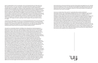She felt safe. She could see and feel the movement of this being's body against her own. It felt like this she was floating—but with a lot of little legs. She felt trapped and safely held at the same time. She felt her ankles heavy on the chair. Part of her body felt like it was going through the floor. She wishes she had more control. The facilitator invites her to think about whether it's possible that she did have more control. It's possible.

How do you make sense of the coercion? A generationally accepted, ritualistically sanctioned coercion. This is interspecies entanglement at the most intimatelevel—reproduction. Carrying life. Carrying eggs. Larvae. Different bodily fluids from and in a different orifice. Is your stomach turning? Is it the noncoercion or the larvae? Sometimes our entanglements are dangerous—power, dependency, supremacy are all mapped onto what determines our edges and our desire to protect them. And yet, as much as we would like to imagine ourselves as distinct individuals, these entanglements of power in the context of our deep interdependence are the waters we are swimming within. These are the sounds that fill our landscape. I feel again, into Lydia Ourahmane's sculptures picking up sounds of visitors breathing. Sharing the air, even if through their masks. Our biological reality is also one of entanglement and interdependence. Our social and political reality has been one of extraction from one another's bodies and the body of the earth. And that dichotomy is not so clear—there's also been care at those sites of dependence. But I find myself standing in the center of all these paradoxes, praying for a new way. Ironically, but not ironically, my breath is guiding me there. And I am listening for the primal sounds that I make. So that I might know the evolving answer to Audre Lorde's consistent question: Are you doing your work? And so that I might know how the sounds I make impact the particles in the air around me. Who is nearby? Who is listening? What are the sounds they are making? What are the sounds you are making? Are you doing your work?

order" (Douglas 1966: 44). Dirt is not absolute—hair is not inherently dirty, but it feels dirty if you find a piece of hair in your soup. Dirt points to something that doesn't belong—it is a label for "all events which blur, smudge, contradict or otherwise confuse accepted classifications" (Douglas 1966: 50). And again, the confusion of said classifications seems to bring us great distress at both a social and biological level. After living through almost two years of a global pandemic, we all know, in our bodies, how high the stakes of protecting the boundaries between us can feel. My body in here, your respiratory fluids out there, and I do not consent to those categories being blurred. I will take the steps needed to be diligent to protect that boundary, even through its inherent futility. The idea of purity and maintaining purity (which is an idea that becomes physical and embodied) is dependent on the fear of contamination–whether we are talking about the logic of whiteness or the logic of individual self-containment. The danger is made real through its physicalization. Its link to bodily fluids. We now hold our breath in an elevator when a stranger walks in unmasked. Our reactions to "matter out of place" are somatic—our stomach turns, our bodies coil in disgust, we want to get away. There is danger in the place where I end and you begin.

I can't think of another work that invites us to sit with that physical discomfort more than the work of artist Carolyn Lazard titled *Consensual Healing*. I am disturbed by this work. Consensual healing of a nonconsensual, or, at best, questionably consensual act. I am disturbed as in angered at the familiarity of the unwelcomed entrance into one's body. Not in the ways of a softer, perhaps more ambiguous collusion at the edge, but a more intentional, focused, penetrative approach to entering another being's body for the purpose of taking. Feeding a wound.

The work is a conversation between a facilitator and a client about a "botched pregnancy" botched as in poorly carried out or unsuccessful. So something went wrong, though we don't totally know what. The video starts with the facilitator saying "Okay, I hear you" in a somewhat automated or robotic voice, after which she invites the client to tell the story again from the beginning. The client, whose voice sounds much more vulnerable and human, starts by saying that she is having trouble remembering. That she is confused. That she felt both loved and mistreated in equal measure. The details she starts to recount, despite her experience of her memory fading, are very precise, even if incomplete, snippets: the texture of the wall underneath the paint, a slither of light coming into the room from the hallway. Meaning it was dark in the room. Meaning she sat there and fixated her attention onto sensory details while some of her consciousness left her body—so she could endure an experience that she was having a slippery experience of understanding the extent of her agency within because this is what happens because this is what we do, this is how it's always been, wait, what's happening? An experience further confused by the feelings of care and love and transgression happening simultaneously. The facilitator invites the client to pick a keyword to refer to the experience while they undergo a bilateral stimulation to help her process—she chooses "extraction." She tells a story of insemination but the word that comes to mind denotes what was taken away from her rather than what was inserted in her. The facilitator invites her to tolerate as much emotion as she can. I can't help but feel the slipperiness of consent even in this consensual healing. We, the viewers, are brought further into the experience—when a small, digitally rendered yellow sphere comes onscreen, behaving like a pendulum to begin the process. Healing in the realm of the subconscious. There is an extended moment of silence between the two women. The sounds of an echoing dial tone vibrate while the ball swings from left to right. The viewer is left in anticipation, and perhaps internal reflection of this kind of unwelcomed transgression. We hear what sounds like a digitized echo of water droplets dripping out of a faucet, which then transitions into a concurrently industrial and extraterrestrial sound. The facilitator prompts the client by saying her keyword—EXTRACTION—followed by an extended moment of silence—after which she invites her to start remembering as best she can. She starts with the light again. It is here that we get some context into the world that this piece exists within—the client describes the conditions that brought her to this moment of coerced insemination—her father died and it was time to give up one of their young. She had always been groomed for it. It was a ritual that brought her mother shame. She only felt the shame before and after, but not during. They have to trade carrying the eggs of these creatures whose lands they were in, in exchange for asylum. That was the agreement. She was drugged. She felt relaxed. She knew she had to be. She felt held.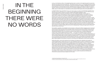# IN THE BEGINNING THERE WERE NO WORDS

In *Beloved*, Toni Morrison writes, "In the beginning there were no words. In the beginning was the sound and they all know what the sound sounded like." <sup>1</sup> Bending the words of John 1:1, "In the beginning was the word," Morrison emphasizes the sonic resonance of sound and proposes the genesis of language as not word but song, heartbeat, foot tap, stomp, and breath. Language as enunciation—radiating, reflecting, and refracting through frequency and embodied memory. When we speak of language it is often in relation to speech, dialect, or vernacular, but the communication of sound and its ability to permeate the senses causing us to shake, sway, cry, and exclaim is a corporeal and sonic presence that keeps score across generations.

In Abigail DeVille's new commission *The Eye of God (Names Spoken in the Night)*, the artist takes inspiration from Morrison's words, challenging us to consider the vast spatiotemporal presence of sound within the body and throughout history. Across her practice, DeVille's assemblage installations utilize archival materials to reexamine lost histories. At its core, DeVille's exploration of temporality is a contemplation of the cosmological as a site of expansive possibility. Building on the death of a star or black hole as metaphor for the erasure of Black histories and legacies across American sociocultural memory, *The Eye of God (Names Spoken in the Night)* (2022) is constructed as an abstraction of the Helix Nebula. Mirror shards and resin skeleton fractals are suspended in a steel armature of metal wire, metallic gold thread, and aircraft cable that hangs from the ceiling. Black bones, inspired by those used to make the first instruments, float within a wire mesh cloud. Neanderthal flutes crafted from animal detritus provided sound by which to communicate before there was articulated language. Using archives as raw material, DeVille prints images from the '60s and '70s of Black historical moments on mirror fragments alongside shards of plexiglass, which reflect the viewer back to themselves and blur the distinction between past and present and ancestor and spirit. This echo of light and image across the room forms a cyclical memory and re-memory of sound, artifact, object, and bodily presence that together mimics the centrifugal drifting and expansion of stardust nebulae from the core of a celestial body—a vessel through which a chorus of silenced voices can be sung.

Resuscitation, repetition, and revisitation have long been a critical part of Black pedagogy and an extension of an atemporal Blackness that exists in the past, present, and future all at once. Stefano Harney and Fred Moten expand on the prevalence of experiential modes of learning and the dissemination of information through everyday Black life in *The Undercommons: Fugitive Planning & Black Study*: "A couple people seem to be reticent about the term 'study,' but is there a way to be in the undercommons that isn't intellectual? Is there a way of being intellectual that isn't social? . . . The notion of a rehearsal—being in a kind of workshop, playing in a band, in a jam session, or old men sitting on a porch, or people working together in a factory—there are these various modes of activity. The point of calling it 'study' is to mark that the incessant and irreversible intellectuality of these activities was already there." <sup>2</sup> The undercommons cracks open the locus of education and scholarship, refusing institutions that have systematically excluded Black people and instead proposing that study is an act of the everyday, of reclamation, and of futurity. At the core of Black radical tradition is the practice of study as community and collaboration across archive and history.

Multimedia artist E. Jane's work explores the archetype of the Black diva, celebrates and studies the underrecognized labor of Black femme icons , and challenges notions of what is considered art. E. Jane's study of Black femmehood and the lexicon of Black sonic and visual output is an act of care and tending that seeks to decolonize and liberate the subjugated Black femme experience. Taking on divadom itself, E. Jane's alter ego , MHYSA, an underground popstar for the cyber resistance, is an embodiment of these histories and the experience of the Black diva. In a close reading of Whitney Houston's appearance on the Rosie O'Donnell show in February of 1998, wherein O'Donnell displays CCTV footage of Houston's trailer as proof of her presence backstage after Houston was unable to attend a previously scheduled interview on the show due to illness, E. Jane posits that "this particular gesture of monitoring rubs the policing of the Black body up against the surveillance of the pop star." <sup>3</sup> Split across four separate monitors, *Let's talk about Whitney Houston's February 1998 Appearance on The Rosie O'Donnell Show (*2022) provides a critical examination of the conditions of Houston's stardom as she is publicly exploited and infantilized by O'Donnell, the physical and psychological toll of her labor.

1. Toni Morrison, Beloved (New York: Vintage, 1987), 305.

3. E. Jane, *Let's talk about Whitney Houston's February 1998 Appearance on The Rosie O'Donnell Show*, 2022.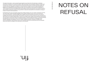Throughout the video E. Jane is superimposed against an archival clip of the interview. In-between moments of reflection and critique the artist is seen reacting to the conversation between Houston and O'Donnell as it unfolds. E. Jane's commentary unfurls the undercurrents of what is said and unsaid—the somatic and sonic language of resistance communicated by Houston not just through articulated language but through gesture as she strives to reclaim her own narrative. This concurrent collapsing of historical and contemporary footage speaks to the ways in which the archive informs the present, as E. Jane's analysis becomes a blueprint for the radical refusal enacted through their own practice as MHYSA and provides a protective enclosure through which to read and understand the mechanisms of erasure at play in Houston's lived experience.

keli safia Maksud Keli Safia Maksud

By attending to the sonic and haptic frequencies of Black histories, we can unearth a language of futurity, one which often evades language altogether and is spoken instead in body, sound, and community. Across their practices E. Jane and DeVille piece together fractured histories and propose new ways of engaging with archives that bring spirit and ancestor to the fore as a kind of study, not only of the past, but also of the self. Throughout Black history, memory and citation have created a lyrical layering of the archive, one that dances and echoes within the collective praxis of critical thought and study—an ancestral keeping that galvanizes noncanonical modes of thinking and being in the transmission of language across histories. Repetition and diasporic memory create a reflexive knowing—a practice of citation that acts as reverberation. Remembrance becomes a doubling, splicing, and expanding that acknowledges what came before as integral to the visioning of a time beyond.

# fin.

# NOTES ON REFUSAL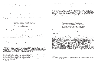The Accessibility for Ontarians with Disabilities Act (AODA), which mandated that organizations follow standards to become more accessible to people with disabilities. Prior to this, it had become customary for land acknowledgments to be made before any presentation but with the introduction of the AODA act, arts organizations started including American Sign Language (ASL) interpretation during events and ensured that the spaces where they held events were wheelchair accessible. It was through FADO that I first encountered ASL interpretation during a performance.

With considerations of community, collectivity, and collaboration at the forefront, *MONOMYTHS* was a yearlong project which was broken down into a series of parts and stages that attempted to dispel the notion of the lone patriarchal figure on a conquest to vanquish his demons. As such, the series sought to break the barriers between audience and performer, and the hearing and deaf communities. However, during a performance entitled *Refusal of the Call*, the ASL interpreter generated involuntary sounds while signing. As the performer got louder so too did the interpreter, creating tension and dissonance in the room—a room that generally only ever accommodates the binary between audience and performer(s). This sound, the "extra-musical," <sup>7</sup> to borrow from Fred Moten, problematized the order that locates music on one end of the spectrum and noise on the other. After the show, many audience members, albeit in hushed voices, spoke of the disruptiveness of the interpreter and how the noises may have distracted the artist. For me, these reactions warranted several questions, namely:

> A. What assumptions were made about the inclusion of an ASL interpreter or deaf people and deafness in general? B. What hierarchies continued to be upheld within the space of performance despite attempts to dispel the idea of the lone figure? C. What if, as Moten asks, authoritative speech could be detached from the notion of a univocal speaker? What if authoritative speech is actually given in the multiplicity and the multivocality of the demand? 8 D. What does accessible and inclusive look like beyond representation?

### Silence, v.

*1. To cause (a person, organization, etc.) to stop speaking or communicating; spec. to render (a person) speechless with emotion, shock, etc.; (also) to defeat (a person) completely in argument.*

—Andrea Davis

In her 2015 TED Talk, "The Enchanting Music of Sign Language," Christine Sun Kim speaks to the idea of sound etiquette, explaining how she learned that she creates sounds by watching how [hearing] people react to her. For example, she has learned not to slam doors and not to burp. "Maybe I think about sound etiquette more than the average hearing person does," Kim explains, "I'm hypervigilant around sound ... alwayswaiting in anticipation around sound and what's to come next." <sup>9</sup> Kim's practice, which includes drawing, performance, sound, and installation, critiques the implicit authority placed on spoken language over signed languages, troubling the notion that sound is inextricably tethered to hearing. Her drawings frequently use English loanwords <sup>10</sup> and notational systems to explore the linguistic structure of ASL. But rather than impose a hierarchy on this system of communication, Kim's practice points to the interconnectivity between modes of communication and urges viewers to recognize the fluidity of language. For example, her series of drawings entitled *English vs Deaf English*, which contrasts English and Deaf English, demonstrates untranslatable ASL concepts. Unlike most other languages, ASL does not have a written component, so some expressions rely on loanwords from spoken English. Thus, in *Sorry Not Sorry* (2018), Not Interested translates to Interest Zero, and Can't See A Thing equates to See Zero. This work demonstrates the loose boundaries that lie between English, Deaf English, and ASL.

9. Christine Sun Kim, "The enchanting music of sign language," YouTube, uploaded by TED, 19 Nov 2015, https://www.youtube.com/watch?v=2Euof4PnjD-

1.

*We look at these maps that they have offered us as people and as academics and we know that these maps are leading towards something called unfreedom, something like slavery, something like death. Then we have to say that if there are lines that move me in this direction, there must be lines that move me away. So, how do I invent another route, another pathway and how do I make life in the spaces of the terror. How does one still live, still laugh, still love?*

The modern world is a modular world predicated on a colonial system that continues to structure our everyday life through hierarchy and division. Nation states, borders, the West, the Global South are just a few terms that fall within this logic enforcing an inside and outside distinction—a boundary between "us" and "them." <sup>2</sup> Mabel O. Wilson reminds us that this cartographic logic manifests not only in maps but in the very places in which we dwell through other modalities of drawing, such as orthographic projection, that built a world that doesn't just locate it but also constructs it.<sup>3</sup> The spaces and structures we inhabit are all physical manifestations of the social systems that order our society. In *The Wretched of the Earth*, Frantz Fanon describes the colonial world as a compartmentalized world, stating that:

Every day, individuals and groups alike refuse this order by renegotiating these imposed boundaries and borders, thus creating new networks and pathways to other worlds. "The path to the wild beyond," Jack Halberstam notes, "is paved with refusal" <sup>5</sup> and practicing refusal, according to Tina Campt, names the urgency of rethinking the time, space, and fundamental vocabulary of what constitutes politics, activism, and theory, as well as what it means to refuse the terms given to us to name these struggles. 6 In this exhibition, *Beneath Tongues* refusal happens on multiple scales, stretching the lines and boundaries around language, architecture, labor, visibility, and invisibility. Through distinct yet interconnected strategies, the artists discussed in this text—Christine Sun Kim, Carrie Mae Weems, and Jessica Vaughn—deny these imposed systems the energy needed to maintain and preserve them by offering other ways of being, thus constructing spaces that aren't trapped within that colonial regime.

### —Andrea Davis 1

### 2.

[t]he colonial world is a world divided into compartments. It is probably unnecessary to recall the existence of native quarters and European quarters, of schools for natives and schools for Europeans; in the same way we need not recall apartheid in South Africa. Yet, if we examine closely this system of compartments, we will at least be able to reveal the lines of force it implies. . . . This approach to the colonial world, its ordering and its geographical layout will allow us to mark out the lines on which a decolonized society will be reorganized. 4

Silent, adj. and n. *1. Designating a group of people whose views remain unknown or unexpressed, esp. as contrasted with a more vocal or dominant group.*

### —OED Online

In 2016 I attended a series of performances put together by the FADO Performance Art Centre in Toronto, Canada. The series, entitled *MONOMYTHS*, invited a diverse collection of artists, scholars, and activists to present performance art, lectures, workshops, and other offerings in an attempt to revise professor Joseph Campbell's conception of the hero's journey. At the time, many arts organizations were trying to address questions around accessibility and inclusion as a direct result of a new law,

<sup>7.</sup> Fred Moten speaks of the extra-musical as sounds that have been denigrated as noise rather than signal. 8. Ibid. 135.

k&ab\_channel=TED.

<sup>10.</sup> A loanword is a word adopted from a foreign language with little or no modification.

<sup>1.</sup> Andrea A. Davis, "Day 4: Closing Conversation. A Map to the Door of No Return at 20: A Gathering" YouTube, uploaded by A Map To the Door at 20, 6 Nov. 2021, https://www.youtube.com/watch?v=nVaEzhHSow4&t=1s&ab\_channel=AMapToTheDoorAt20.

<sup>2.</sup> Wendy Brown, *Waning Sovereignty, Walled Democracy* (New York: Zone Books, 2010), 24–25.

<sup>3.</sup> Mabel O. Wilson, "Day 4: Closing Conversation. A Map to the Door of No Return at 20: A Gathering" YouTube, uploaded by A Map To the Door at 20, 6 Nov. 2021, https://www.youtube.com/watch?v=nVaEzhHSow4&t=1s&ab\_channel=AMapToTheDoorAt20.

<sup>4.</sup> Frantz Fanon, *The Wretched of the Earth* (New York: Grove Press, 1963), 38.

<sup>5.</sup> Jack Halberstam, "The Wild Beyond: With and for the Undercommons," in *The Undercommons: Fugitive Planning & Black Study*, by Stefano Harney and Fred Moten (New York: Minor Compositions, 2013), 8.

<sup>6.</sup> Tina Campt, "Black Visuality and the Practice of Refusal: Tina Campt," *Women & Performance*, 12 March 2019, https://www.womenandperformance.org/ampersand/29-1/campt.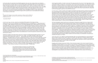In the same talk, Kim describes the similarities between ASL and music. Using a piano as a metaphor, she notes that ASL is broken down into many different grammatical parameters, such as facial expression, body movement, and speed, which can each be assigned to each finger in the style of a piano player. Unlike the English language, which she describes as linear, that is, "one key is pressed at a time," ASL is like "a chord—all ten fingers need to come down simultaneously to express a clear concept or idea. One shift in key would create a completely different meaning much like in music with regards to pitch, tone and volume." 11 Here, Kim reminds us of the expansiveness of language, revealing it to be a "multi-sensory phenomenon, one whose properties are auditory, visual, and spatial, as well as socially determined." 12 The practice of refusal recurs and shifts throughout Kim's practice but is most astutely demonstrated in her refusal to remain silent.

It is through the tradition of a Black vernacular that I view and enter the works of Carrie Mae Weems. Part of the artist's larger *Sea Islands Series*, *Untitled (Peanuts)* 1991–92 and *Untitled (Box Spring in Tree)* 1991–92 are a visual exploration of a group of islands on the Atlantic Ocean coast of the Southeastern United States to which thousands of enslaved Africans were shipped. Many descendants of slaves remained on these isolated islands where they developed a creole culture known as Gullah (also referred to as Geechee). The Gullah people speak an English-based creole language that contains many African loanwords and is influenced by African languages in grammar and sentence structure.

In *Untitled (Peanuts)*, which consists of two gelatin photographs that depict generic storefront businesses and two screenprinted text panels located on either side of the images, Weems engages with wordplay by illustrating possible etymological variants of Gullah and Geechee: GOLA, ANGOLA, GULLA, GULLAH, GEECHEE. Some scholars suggest that Gullah may be connected to the word "Angola," where the ancestors of some of the Gullah people likely originated, while others have suggested that it may come from the name of the Gola, an ethnic group living in another area of enslaved ancestors of the Gullah people between present-day Sierra Leone and Liberia in West Africa. The name Geechee may derive from the name of the Kissi people, an ethnic group living in the border area between Sierra Leone, Guinea, and Liberia. But it might also be derived from the name of the Ogeechee River near Savannah, Georgia. 20 Stated on the panel to the right of the photographs are the words MPINDA, NGUBA, GOOBER, PEANUTS—all words meaning "peanut" in various African languages and Gullah creoles.

Engaging with the Black vernacular tradition, these works also speak to the mode of opacity that was theorized by Édouard Glissant in *Poetics of Relation*. As an antonym of transparency, this notion questions the possibilities of intercultural communication. For Glissant, a "transparent" language is transparent by virtue of the fact that it is the vehicle of humanist colonial ideology, reproducing humanism's universality in being read and spoken by an ideal human individual. Transparency implies the existence of a universal, correct, and "right" language, toward which the individual strives. In a multi-relational world, recognizing difference does not mean understanding otherness by making it transparent, but accepting the unintelligibility, impenetrability, and confusion that often characterize cross-cultural communication.<sup>23</sup>

The two photographs depict storefronts of businesses in Savannah, Georgia, that are no longer extant. The left-oriented image indicates a business named "Max's" while the photograph on the right shows "Awesome Hair Performance" at 1911 MLK Blvd with a Muslim star and crescent icon hand painted near the front door on the exterior wall, and "Steven's Peanuts."21 Looking at this work as a whole, I read the text panels as brackets or parentheses around the images, thus amplifying or expanding on the photographs and demanding a closer analysis. But the text, particularly the panel on the left, could also function as annotation—a metadata such as a note, explanation, or comment attached to text or image. Christina Sharpe suggests that the work of annotation, or rather Black annotation, is "another effort to try to look, to try to really see . . . seeing and reading otherwise; reading and seeing something in excess of what is caught in the frame." <sup>22</sup> By integrating these different voices through the various modes of language–English, Creole English, Kikongo, Mpinda, photography, and text—and also playing with orthography, Weems uses polyvocality to speak to the depths and complexities of African American history and culture, composing alternative narratives of Black existence and demanding a reconsideration of predominant narratives throughout our history.

Despite the ravages of the New World, new forms of speech emerged allowing Black people to not only voice their experiences but also control their own i-mages. "The English language," Philip notes, "was subverted, turned upside down, inside out . . . [and] infused with [their] own remembered linguistic traditions."<sup>17</sup> Wordplay refers to the action of playing with words or a witty use of words, especially of verbal ambiguities. In African American culture wordplay is based on Black vernacular—the ordinary language of Black Americans, enriched by colloquial expressions, metaphors, similes, and proverbs as well as excerpts from songs and stories rooted in African and African American culture. Bad English, Black English, Ebonics, Patois, and Creole are just a few terms that are used to describe modes of communication among Black people in the diaspora. I read these emergent languages under the rubric of refusal, saying no to, as Christina Sharpe notes in *In the Wake: On Blackness and Being*, "those languages and the material conditions . . . that continue to produce our fast and slow death." <sup>18</sup> Sharpe asks:

*Untitled (Box Spring in Tree)* depicts a haunting landscape with a box spring hanging from a tree evoking an African folkloric practice that's used to ward off evil spirits. Here, Black life is rendered visible through folklore, which employs the tactic of signifying—a way of speech that relies on metaphor and simile, thus creating layered and nuanced meanings. But this photograph also expresses a sense of quiet that forces the viewer to slow down in order to draw out these subtle pronouncements of Blackness.

23. Posted by Keywords Contributor. "Opacité / Opacity (Édouard Glissant)." Keywords in Transcultural English Studies, http://www.transculturalenglish-studies.de/opacite-opacity-edouard-glissant/.

21. Carrie Mae Weems, Untitled (Peanuts) [ital.], 1992, two gelatin silver prints and two screenprinted text panels, 51.4 × 213 cm overall (framed), Telfair Muse-

### 3

*To speak another language is to enter another consciousness. Africans in the New World were compelled to enter another consciousness, that of their masters, while simultaneously being excluded from their own.*

*In She Tries Her Tongue, Her Silence Softly Breaks*, NourbeSe Philip speaks to the image as being fundamental of any art form. Drawing on the Rastafarian practice of privileging the "I," Philip stresses the "I" of "image"—i-mage—arguing that at the heart of all creative language is the i-mage: the practice of writing and imagining the self and/or collective in the world.<sup>14</sup> Speaking specifically to the effects of slavery in the Caribbean (although I would argue that this is the condition throughout the Black diaspora), Philip describes the violence of stripping the African slave of her language and speech, stating that, "in denying the voice power to make and, simultaneously, to express thei-mage—in denying the voice expression, in fact—the ability and power to use the voice was effectively stymied." <sup>15</sup> The African was forced to adapt a foreign language—"a language comprised of word symbols that even then had affirmed negative i-mages about her, and one which was but a reflection of the experience of the European ethnocentric world view. <sup>16</sup> Thus, in adopting this new language the African was partially able to voice her experience while at the same time was bound to silence.

—NourbeSe Philip 13

If we understand portraiture to be both the "art of creating portraits" (image and text) and "graphic and detailed descriptions," how might we understand a variety of forms of contemporary Black public image making in and as refusals to accede to the optics, the disciplines, and the deathly demands of antiblack worlds in which we live, work, and struggle to make visible (to ourselves, if not to others) all kinds of Black pasts, presents and possible futures?

11. Kim, "The enchanting music of sign language."

12. Allison Noelle Conner, "Your Turn, My Turn, Our Turn: How Christine Sun Kim Reimagines Sound," *Contemporary Art Review LA*, 17 March 2021, https://contemporaryartreview.la/your-turn-my-turn-our-turn-how-christine-sun-kim-reimagines-sound/#marker-12490-5. 13. NourbeSe Philip, *She Tries Her Tongue, Her Silence Softly Breaks* (Middletown: Wesleyan University Press, 1989), 78.

14. Ibid. 80.

15. Ibid

16. Ibid. 82.

17. Ibid. 85.

18. Christina Sharpe, *In the Wake: On Blackness and Being* (Durham: Duke University Press, 2016), 116. 19. Ibid. 115.

<sup>20.</sup> Wikipedia, s.v. "Gullah," 26 December 2021, https://en.wikipedia.org/wiki/Gullah. ums, Savannah, Georgia, https://collections.telfair.org/objects/6549/untitled-peanuts. 22. Sharpe, In the Wake [ital.], 117.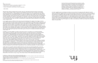In music, negative space is analogous to silence but only when it is juxtaposed with adjacent musical ideas. Put differently, negative space is the silence between notes. But these silences should be thought of as positively formed spatial mass, the length of which gives the presence of sound as a perceivable shape. As such, there is a difference between inert and active silences in music, where the latter is more closely analogous to negative space in art. I read Vaughn's works through these modalities of quiet, silent, and quotidian—not as passive objects but works that highlight, through an interplay of what is seen and unseen, closed systems of representation and value. They function like blueprints erecting an ideological architecture running rampant throughout our cities. An architecture of affect and impact and, though not visible, not quiet either.

fin.

4.

Quiet, adj. and adv.

*1. Characterized by an absence or near absence of agitation or activity.*

*2. Free from noise or uproar; making little if any sound.*

*3. Absence of disturbance or discord; peace in social or political life.*

—OED Online

Working with residual materials that are often cast off or discarded during processes of production or labor, Jessica Vaughn makes sculptures and installations that point to the mundane and quotidian structures that inform our understanding of work, race, and space. For her sculptural work, she collects scrap materials such as industrial upholstery or seats from different sites of labor and city infrastructure, including Chicago Transit Authority buses, and transforms them into artworks that invite a reconsideration of these materials as art objects in themselves. For example, *D-90 Blue No.116* (2016), which is named after its commercial color code, is a sculpture that was made from scrap fabric that was used to line seating in commercial vehicles. Here, the fabric is presented as a readymade though unfamiliar form that frames empty, negative space.

- https://www.youtube.com/watch?v=37wQnWhg5tI&ab\_channel=CreativeCapital.
- 26. Mabel O. Wilson and Julian Rose, "Changing the subject: Race and public space," *Artforum*, June 1, 2020, https://www.artforum.com/print/201706/ changing-the-subject-race-and-public-space-68687.
- 27. William A. Gleason, *Sites Unseen: Architecture, Race, and American Literature* (New York: New York University Press, 2011), 3.

Each term references something assumed to go unspoken or unsaid, unremarked, unrecognized, or overlooked. They name practices that are pervasive and ever-present yet occluded by their seeming absence or erasure in repetition, routine, or internalization. Yet the quotidian is not equivalent to passive everyday acts, and quiet is not an absence of articulation or utterance. Quiet is a modality that surrounds and infuses sound with impact and affect, which creates the possibility for it to register as meaningful . . . for blacks in the diaspora, both quiet and the quotidian are mobilized as everyday practices of refusal. 30

Invisibility, much like visibility, is socially constructed. Fanon's conception of a compartmentalized world, dividing, for example, native and European quarters, is a useful framework to understand these constructions. Spatial segregation is the schema through which the built environment has been constructed, <sup>26</sup> organizing bodies both discursively and spatially according to perceived differences. For Mabel O. Wilson, the emergence of architecture as a modern discipline is itself inseparable from the problem of race. "I'm," Wilson notes, "referring to a very specific, Western humanist notion of the architect as someone who thinks, who designs, who draws but who does not build. He is an intellectual, in other words, who works very abstractly, through reason, and is distanced from the physical labor of construction." But as William Gleason reminds us in *Sites Unseen: Architecture, Race, and American Literature*, "the built environment is always shaped in some way by race whether such shaping is explicitly acknowledged or understood." <sup>27</sup> The emergence of the modern world and modern architecture, which was dependent on enslaved labor, became, in part, about the maintenance of racial hierarchy. 28 By  $\,$ focusing on the work that builds the structure for other types of work that are seen as respectable, Vaughn's practice raises pressing questions about what is considered important work, particularly in this moment of pandemic, and the idea of essential work, thus conjuring a population of unseen workers.

In art, negative space is defined as the space around and between the subject of an image. It may be most evident when the space around a subject forms an interesting or artistically relevant shape, and such space occasionally is used to artistic effect as the "real" subject of an image. 24 Focusing our attention on the negative spaces, Vaughn encourages a closer inspection of not just the shapes that uncannily hint at patterns to cover armrests or seats but also their edges, which are often delicate and frayed. In a presentation of her work at Creative Time, she noted how these materials are designed to easily separate and unravel. "This unravelling," she explains, "serves as a reminder of the people who are making, producing and running those machines that create the cuts in the fabric. There is a relationship to the machine and the body and working through space where labor goes unnoticed or is treated as invisible that I want to make evident." 25

I often return to a question raised by Saidiya Hartman: How does one represent Black life, convey its frequencies, its textures and sounds, its opacity, the deep and rich Black tonalities that define the lived experience and the aesthetic territory? If Blackness is seen to run synonymous with loudness and expressiveness, what could a concept of quiet mean to how we understand Black culture? 29 How might we view Blackness outside of modes of resistance, attending instead to the mundane and quotidian? How might this extended vocabulary enable a more robust dialogue around Blackness and being? In the introduction to her book *Listening to Images*, Tina Campt muses on the relationship between quiet

28. Ibid.

29. I point to a similar question asked by Kevin Quashie in *The Sovereignty of Quiet* (New Brunswick, NJ: Rutgers University Press, 2012) 30. Tina Campt, *Listening to Images* (Durham: Duke University Press, 2017), 4.

<sup>24.</sup> Wikipedia, s.v. "negative space," https://en.wikipedia.org/wiki/Negative\_space.

<sup>25.</sup> Jessica Vaughn, "Jessica Vaughn Presents at the 2021 Creative Capital Artist Retreat," YouTube, uploaded by Creative Capital, 8 September 2021,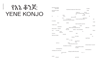# የእኔ ቆንጆ: YENE KONJO

| My friend                  |             |                       |                                                 |                                                   |            | is dead                |        |
|----------------------------|-------------|-----------------------|-------------------------------------------------|---------------------------------------------------|------------|------------------------|--------|
| My friend is dead          |             |                       | My friend is dead and I hate my job             |                                                   |            | I hate                 |        |
| my job                     |             |                       |                                                 |                                                   |            |                        |        |
|                            |             |                       |                                                 | I hate my<br>job my friend is dead broke me<br>IS | evil       | My ex                  |        |
| M                          |             | My e<br>ex is         |                                                 | e                                                 | x is evil  | vil                    |        |
|                            | y           |                       | My ex is evil                                   |                                                   |            |                        |        |
|                            |             | I'm a                 |                                                 |                                                   | bad friend |                        |        |
|                            |             |                       | If I don't cry<br>lying that my friend is dead? | at work will they think I                         |            |                        | am     |
| 6 months                   |             |                       |                                                 |                                                   |            |                        |        |
|                            | <b>Next</b> |                       | winter                                          |                                                   |            |                        | 1 year |
|                            |             |                       | Give it another summer                          |                                                   |            |                        |        |
| I hate my ex               |             |                       |                                                 |                                                   |            |                        |        |
|                            |             |                       |                                                 |                                                   | I hate     |                        | myself |
|                            | My friend   |                       |                                                 | is dead<br>When was the last time you             |            | called her             |        |
| Did you text               | her last    |                       | winter                                          |                                                   |            |                        |        |
|                            |             |                       | The one                                         | before The one before                             |            |                        |        |
| You'                       | re a bad    |                       |                                                 |                                                   |            |                        | friend |
|                            | mom         |                       | told you                                        |                                                   | to         |                        |        |
| You're a                   | text her    |                       |                                                 | bad                                               |            |                        |        |
|                            |             | I should              |                                                 |                                                   |            |                        | read   |
| Start your essay.          |             |                       |                                                 |                                                   |            |                        |        |
|                            |             |                       |                                                 | You have                                          |            |                        | no     |
|                            |             |                       | friends<br>Alone                                |                                                   |            | bad friend.            |        |
|                            |             |                       |                                                 |                                                   |            |                        |        |
|                            |             |                       | A lone                                          |                                                   |            |                        |        |
|                            |             |                       |                                                 | you should<br>read                                |            |                        |        |
|                            | Go for a    |                       | walk                                            |                                                   |            |                        |        |
|                            |             |                       | I should call my mom                            |                                                   |            |                        |        |
|                            |             |                       | My sister is coming                             |                                                   |            | I should clean my room |        |
|                            |             | I don't want to share |                                                 |                                                   |            |                        |        |
|                            |             |                       |                                                 | my bed.                                           |            |                        |        |
| I should get up.           |             |                       |                                                 |                                                   |            |                        |        |
| I will get up in one hour. |             |                       |                                                 |                                                   |            | I should get up.       |        |
|                            |             |                       | I will get up after this show.                  |                                                   |            |                        |        |
|                            |             | Ok in 15 min.<br>2.   |                                                 |                                                   | 5.4. 3.    |                        |        |
|                            |             |                       |                                                 |                                                   |            |                        |        |

I should a set of the state of the state of the state of the state of the state of the state of the state of the state of the state of the state of the state of the state of the state of the state of the state of the state

My friend is dead My friend My friend is de My friend is dead my job My e that is a series of the series of the series of the series of the series of the series of the series of the series of the series of the series of the series of the series of the series of the series of the series of t M y exis e vil  $Mv$ I'm a bad friend bad friend by the bad friend bad friend by the bad friend by the bad friend by the bad friend If I don't cry lying that my friend is d 6 months Next winter I hate my ex My friend When was the last time you called her Did you text her last winter The one mom told you to to to text her You're a **I** should read and the state of the state of the state of the state of the state of the state of the state of the state of the state of the state of the state of the state of the state of the state of the state of the sta Start your essay. **Solution 2018** No. 2019 No. 2019 No. 2019 No. 2019 No. 2019 No. 2019 No. 2019 No. 2019 No. 2019 No. 2019 No. 20 friends Alone A lone Go for a walk I should My sister is coming I should get up. I should get up. I will get up in one hour. I will get up Ok in 15 min.<br>2. 2.

Ok 20.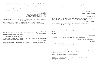"There's always a joker in the pack. There's always a lonely clown. The poor laughing fool falls on his back. And everyone laughs when he's down. There's always a funny man in the game. But he's only funny by mistake. But everyone laughs at him, just the same. They don't see his lonely heart break. They don't care as long as there is a jester, just a fool. As foolish as he can be. There's always a joker, that's a rule. But fate deals the hand and I see."

"The joker is me" <sup>1</sup>

Who has forgotten me?

My friend is dead and it's my fault

Why didn't she call?

Too preoccupied with my own small deaths throughout time, public cracks, and private crevices  $^2$  I would  $\,$ fall in and out of, I forgot to reach out and help her up from hers. She let go. I let go. She let go.

She didn't ask for help. I don't think she could. I try to ask for help. In my way. The sardonic cries of a goodtime girl. Maybe this essay is one? I wonder if she did the same and I didn't hear.

Why didn't you check?

My mom keeps tempo. Her past questions that irritated me now echo. "Have you heard from her? Reach out. I hear she is going through a tough time."

> I think I texted I had to have Lazy

My friend is dead.

It's narcissistic to think I alone could lift her. Silence her chorus when mine was/is so loud.

Fasten your seatbelt before helping others.

It's my fault.

My therapist says I'm too hard on myself. All of my memories feel fake. Her breathy laugh, calling me bozo and slapping my shoulder, all a scene from a movie I watched but didn't pay attention to. A book I only read the sparknotes for. I cannot place our last conversation. Our last embrace.

How many others have I forgotten?

All I have are images of us as babies thinking we were grown . . . going to concerts and drinking in cars with boys. Kings cup and cheap vodka shots. No parents, house to the neck. Slow moving fast girls who rubbed our hickies with ice and didn't rush anything but love. Smiles  $^3$  so big you could see the gums. Hers shines brighter than any memory I have.

Stanky legs and stiff twerks in dingy barely furnished apartments.

1. Shirley Bassey, "The Joker." Also the intro to *Kath and Kim*, an Australian talk show about a dysfunctional white mother and daughter. They take everything . . . but the show is funny. 2. Morrison, Toni. 1992. Jazz. New York: Knopf. 3. Morrison, Toni. 1992. Jazz. New York: Knopf. A book I stole from my ex but never finished.

My friend is dead. She was my best friend and I can barely remember her. I spend my days flagellating my memory, trying to figure out why we stopped speaking. I am paralyzed by guilt. Guilt for failing to remember the many years we spent together. Guilt for my neglect. And guilt whenever my mind wanders away from trying to remember her to a moment of peace or work or my ex or my own indulgent self-pity.

I am supposed to write this essay which is already late, another fact that reinforces my guilt. A musical duet is the prompt: two voices that hold their own but are speaking toward the same thing/two voices that balance each other out/create dissonance/contradictions. But I cannot think past the crescendo/chorus/ call-and-response of my own thoughts.

> My friend is dead My friend is dead My friend is dead and I have to write this essay. I cannot talk to my friend so I will talk to myself. I cannot talk to my friend so I will write this essay.

And now ladies and gentlemen for your pleasure and entertainment we proudly present the two-headed girl and her famous solo duet.

I write this through the fog of my own recurring depression which now rolls in, reified by the death of a friend. Attempting this daring task of organizing my own anxious thoughts that reverberate sonically. Internally.

This daze . . . maze Constructed by my mind I know all too well. But this one seems to have a brand-new flavor! So here's my ill-fated and ill thought out, likely futile escape act. Here. On the page. I appreciate your patience.

*And now ladies and gentlemen*

My friend is dead and it's my fault.

My friend is dead and I have to write this thing but my brain doesn't work anymore. It's on strike.

FAIR PAY AND RESPECT.

Management won't listen. Instead, I try to remember.

I try to remember the last time we spoke. I can't.

A drunken night? An obligatory holiday text to meet up? Maybe we fought? Plans repeatedly unfulfilled that lead to scorned abandonments? Neglect. Anger?

Why was it so long?

Ironic now as I cancel plans—"I'm working on my essay." The one that is overdue and I haven't started. Now in progress. An unanswered text is how I think we left it.

In her final year I hear she asked for me. "Where is Hanna? Have you heard from her? I miss who I was when I was with her. I was fun." Fun

The goodtime girl

My mom told me my friend died I went to dinner and was the loudest in the room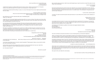But I wouldn't grieve someone I didn't know. My therapist says I need to be kind to myself. She asks me why I think I can't remember.

I need a new therapist An analyst?

My dad was grieving the loss of the woman who raised him, yes, but also his last tether to home. I ask my dad about his previous life, before he came here, and he responds tersely. Suspiciously. Can he remember? He sounds Ethiopian. He plays broken jazz tunes on my sister's piano. The rental piano I thought was ours until one day it was gone.

"I can't do this. I hate the piano."

I wonder if my dad mourned the piano that was returned, I'm sure without his consent, by the matriarch of our family.

> I always blame my mom She was a good mom I should call her

He probably told her to return it. To save money. But still harbors resentment for its absence. He plays the harmonica and accordion now. The ones I begged him to get me from the candy shop. The ones I quickly grew tired of and re-gifted to him on father's day.

His displacement/liminality is audible in the broken and vaguely habesha melody. He is not Black No longer Ethiopian And simultaneously both

> A cop pulls my dad over "Shit shit" "He heard my accent and realized I was ok"

The sonic call that you should not be there. You do not belong there, you have been displaced.

God I sound like an emo early 2000s song I got your picture I'm coming with ya <sup>4</sup>

> Amorphous, translucent, dark. This home. This family. He/They built. Is also a trap. A daily reminder of what he left behind for better or for worse. He won't say. Time and the American Dream has hardened the man whose glasses once steamed up as I held his hand. I try to imagine the boy he was before he came here. The boy whose mother would breastfeed other children to make him cry with jealousy.

"When occupying a space, which is articulated by objects and furnishings that belong to someone else, you begin to adapt to a preset of gestures that haunt the space, to which you reorient your habits . . . my own body became a stand-in for these gestures, processing them, repeating them, and reinstating them." 7

He didn't cry when his brother died . . . mom still yelled at him.

This is also not my mother's home. On a walk she tells me she wanted to move back to New York when her father died. She says that feeling lasted about 5 years, 1994 (the year I was born, the year he died), 1995, 1996, 1997, 1998. My dad told her he would never move. His family is here. His grandmother. The one whose funeral she would shhh him at.

Why don't I know her . . . language? I remember My mom shushing my dad to stop crying so as not to upset me and my sister. Her coldness to his otherness.

I remember these failed sonic moments. Violent translation.<sup>5.</sup> Failed speech. Silence. How horrific it all felt but I can't remember my friend.

She says it's fine, she hates the cold anyway.

I can't even last 6 months in this puss filled gray city.

I watched her funeral on a laptop before bed. The same screen I watch *Seinfeld* and porn on. The same screen I now write this essay. From my bed. The one days prior I couldn't get out of.

I watched her funeral and felt nothing. A voyeur. In a church that wasn't the one but might as well have been the one I hated.

> A former catholic school tramp. I lift up my church skirt and get spanked through my white tights on Easter Sunday. Stick my finger in the flame every midnight mass.

Not nothing but not what I expected after days of debilitating grief. I didn't cry. I was mad.

I watch the row of shrouded habesha grandmothers file in to mourn my friend. They stick out in their white cotton dresses. Like ghosts walking down the aisle. They hold each other, they support their friend who has lost a granddaughter and before that a son.

I am reminded of the first funeral I attended. This was not virtual but rather violently irl I remember the screams of my shrouded aunts. I remember my dad's soft cries, the first time I saw him cry. His glasses fogging up. I remember forcing myself to cry. To partake in the ritual. The shame I felt that I wasn't and couldn't cry.

She was my caretaker, my protector, but I could not cry. After all, I didn't know her. I loved her as much as I could. But I didn't know her. We didn't speak the same language. I knew nothing of her life, her love. Even her illness was hidden from my young ears until she was gone.

She would watch wrestling and soap operas and call my dad when I wouldn't eat.

My grandma cries in her living room የእኔ ቆንጆ "I love you, I love you" The only English she knows. The final breakdown after days of failed communication

Grief and this essay feel self-serving at this moment. If I cannot remember her, how can I claim this sadness? This space to mourn? What does this do for her memory?

Am I the bad art friend? <sup>6</sup>

"Be kind to yourself"

.

4. All Time Low, "Dear Maria, Count Me In."

5. Betsy Wing's translator intro to, Édouard Glissant's *Poetics of Relation* says that "The stumbling blocks of translation frequently exist at its most productive points. Their usual first effect is frustration caused by obstinate resistance (on both sides), but, in their ever-renewed demand for conjecture, these apparent obstacles can allow us to escape the cramped, habitual postures of our own thought."

6.Kolker, Robert. "Who Is the Bad Art Friend?" *The New York Times, The New York Times*, 5 Oct. 2021, https://www.nytimes.com/2021/10/05/magazine/ dorland-v-larson.html.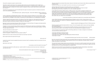"We are in hell when we break others down. We are in hell when we hurt each other. When we see the truth it will all be free.

I hurt you. You hurt me. I hurt myself. You hurt me. You hurt you. You hurt yourself." <sup>15</sup>

Hall and Oates said "it's easy to hurt others when you can't feel pain." My sister said "hurt people hurt people" when I told her about the ex who broke my heart My therapist said the same in response to my own corporate dysphoria

To live within this world as a Black person. A Black woman. and not feel constantly enraged by the bipolarizing nature of double consciousness, schizophrenic. Maybe it is insensitive and myopic to conflate my own bouts of psychosis/moments of inability to distinguish my, ours, your thoughts and ideas from reality with schizophrenia. I fight with my mom over the past. My reality and hers are in conflict and simultaneously true. She looks at me through the eyes of another and sees the wounds they made. She made. How can I expect her to remember?

"You're not alone. You're Not alone. We're in this thing called love. To make a change be not ashamed. You know that love will find a way" <sup>16</sup>

I can't even remember my friend and I expect her to remember every infraction?

I saw a TikTok that said excessive daydreaming and fantasy is a form of OCD. I tried to think of a day when I didn't spend the majority of it daydreaming past the confines of my own existence. To suspend the pervasive darkness.

Maybe I shouldn't self-diagnose off (from?) TikTok anymore.

Patricia's gospel is what she leaves behind. A dose of her soft acapella calls for peace and hope, Mahalia, and Sunday Sessions.

The only things that quiet my mind are these repetitive, infectious choruses that burrow in my head, silencing the information I can't prioritize. The sonic and visual distractions ravaging my senses.

"Barzakh in Arabic is the limbo, the in-between state. There are many translations which relate it as a space where the spirit awaits; somewhere between life and death, or a physical space; a thin strip of land between two seas, a refuge. But it is also a place of judgment, where a spirit waits while its earthly deeds are counted." <sup>8</sup>

> I was angry watching my friend's funeral. I was angry at my dirty computer screen. I was angry at the minister who kept talking about HIM and HIS plan. I was angry at myself.

> > If my parents talk about god more than me at my funeral I will be pissed.

በጣም አመስግናለሁ የኔ እህት :: ስራሽ ሁሉ የተባረከ ይሁን :: ቅንነት ደግነትና መልካም ስራ የሰዉነት መገለጫ ነውና:: ኤልያስ ግርማ አስፋዉ <sup>9</sup>

> My only moments of peace were when the lone gospel singer removed her mask and sang "He Knows My Name" and "More Than Anything" through strained vocals, over the distorted computer audio. The same songs I burrowed in to self-soothe.

> They say that Charles "Buddy" Bolden was schizophrenic. They say he couldn't properly read music and had impaired motor function. That the only way he could play his cornet was by improvising on ragtime and that this was at the root of his pioneering jazz accomplishments.

While it may be true that he was schizophrenic, it is also possible that this "freewheeling" radical Black production could only be understood in the white imagination as a disorder.

> I'm not crazy I'm free 17

She took the birds from their cages and set them out the windows to freeze or fly including the parrot that said "I love you" <sup>14</sup>

8. Lydia Ourahmane interview https://www.the-art-paper.com/lydia-ourahmane-at-kunsthalle-basel/

9. Personal note from my father.

10. Satterwhite, Patricia. "Moments of Silence."

11. Satterwhite, Patricia. "We are in Hell When We Hurt Each Other."

12. I went back to work after I was raped. I went back after my friend died.

13. hooks, bell. 2018. All About Love. [S.I.]: HarperCollins. I sent this to my sister after her breakup on the day bell hooks died. She didn't read it. I've never

finished it.

14. Morrison, Toni. 1992. Jazz. New York: Knopf. Apparently *Jazz* is Toni Morrison's favorite book.

They both crossed an ocean to meet me here.

This limbo he has lived in for most of his life tears him apart. He sends me poems in Amharic and yells at me for not understanding them.

I took my dad back to Ethiopia after 46 years. I tried to have a moment of silence in a room where I could not understand anything that was being said. A room that was foreign to me. One he knows all too well. My friend told me to meditate on the sounds. I screamed at my dad instead for his unwillingness to translate.

Because I cannot remember the past, I think of the future my friend will have. The legacy she leaves behind. Who absorbs her pain now that she is free? Her mother?

I forgave my mom a long time ago. After all, a part of her died the year I was born so it feels like I'm talking shit when my therapist asks me about it. Her existence in corporate America. Wholesale subaltern. The first. The best. Was her own hell.

"We are in hell when we fail to exist" <sup>11</sup>

"Silence makes the brain grow fonder. In the silence of your day, chase your cares away and let your mind tune in to the next of what to do. And may peace all be with you whatever you do. Moments of silence. Moments of silence. Moments of silence. Chase your cares away." 10

Mother told me to marry someone who loved me more than I love them

My ex says his first love was sent from god.

Who sent me?

I was told I wouldn't have recognized the person she was. That it is a blessing I have the memories of her as she truly was.

I find myself in a similar predicament Mother's daughter. A hellhole of my own upward mobility 12

Memories I don't have.

"Love saves us only if we want to be saved." <sup>13</sup>

The first word I learned to write was love. I used to write it in cursive over and over and over. I hardly ever use that word now.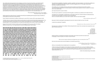The rhetorical possibilities of repetition. Variation, repetition and improvisation. I try to find the creative possibilities in the repetitive/sporadic thoughts I currently struggle with on/ in this page. Sharp white.. Give them narrative and structure.

The duality and conversation between external forces that are and internal voices that could be. Fractured familial conversations. Jacolby speaks to Patricia, Kanye speaks to Donda. I speak to my friend who I once called sister.

2017 was the last time I saw my friend.

The same year I spoke to E. Jane about their thoughts on softness as a political act for Black femmes.

"I hurt you. You hurt me. I hurt myself. You hurt me. You hurt you. You hurt yourself." <sup>23</sup>

Throughout our conversation I probed them on this idea. It was one I could not wrap my head around as someone who was taught my need for touch was deficient. Not to cry. Scream before you cry. But never in public, never too loud. Never audibly.

Because of what I was taught I was always too loud, too mean, too fast, too much. Too wild.

I used to be a quiet girl. Thoughtful.

My rage was my shield and my default. I think during this time I was in the most pain and caused the most pain to those around me.

Radical softness contradicted everything I was taught. That I had to be hard to be hard to kill. A language I could not speak. An octave I could not reach.

Not sure why anyone stuck around. Maybe cuz i was still a good time.

 *"We are in hell when we fail to exist"* 21

After our conversation they emailed back to my questions:

*"If mama knew now. How you turned out. You too wild."* 22

They would rather have me say '"I am a nigga" Than hear me say "I am a god" <sup>19</sup>

> *Takes a lot more courage to talk about your feelings than it does to sit around and be a bitch* 24

> > *"I, I feel really great, because like, my friends like me I'm like bitch! I'ma really . . . I really bitch"* 25

Celie in the streets Shug in the sheets

21. Satterwhite, Patricia. "We are in Hell When We Hurt Each Other." 22. West, Kanye. "Wolves."

"I think a lot about Alice Walker, her thoughts, her essays, and the film *The Color Purple* in relation to Black women and softness. I think about how Celie was just expected to work and not have nice things and Shug Avery was judged as "fast"/loose for getting those things through professional entertainment and relationships with men." 26

was conducted by WNEW without Marcy knowing she was being recorded. 26. Rhizome interview with E. Jane

18. Jonathan M. Metzl, *The Protest Psychosis: How Schizophrenia Became a Black Disease* (Boston: Beacon Press, 2010). 19. Kanye West, BBC Interview with Zane Lowe, 2013.

20. Huey P. Newton, Speech at Boston College, November 18, 1970.

"[I]n a 1968 article that appeared in the prestigious Archives of General Psychiatry, psychiatrists Walter Bromberg and Frank Simon described schizophrenia as a 'protest psychosis' whereby black men developed 'hostile and aggressive feelings' and 'delusional anti-whiteness' after listening to the words of Malcolm X, joining the Black Muslims, or aligning with groups that preached militant resistance to white society. According to the authors, the men required psychiatric treatment because their symptoms threatened not only their own sanity, but the social order of white America. Bromberg and Simon argued that black men who 'espoused African or Islamic' ideologies, adopted 'Islamic names' that were changed in such a way so as to deny 'the previous Anglicization of their names' in fact demonstrated a 'delusional anti-whiteness' that manifest as 'paranoid projections of the Negroes to the Caucasian group.'" 18

White Supremacy strips the ego. Constantly perceiving and validating self through the eyes of another. A social death as a precursor to the physical.

Huey P. Newton was placed in solitary confinement on and off for 3 years until he was released in 1970:

"Tonight I ask you to assume that an external world exists. An external world that exists independently of us. The second assumption I would like for you to make is that things are in a constant state of change, transformation, or flux. With agreement on these two assumptions we can go on with our discussion." 20

Newton did not rejoin the Black Panther party and struggled with drug abuse after his release. Steffani Jemison's *Same Time* relays Newton's words through popular music tropes.

WHILE ONE FORCE WHILE ONE FORCE MAY GIVE RISE TO ONE THING IT MIGHT CRUSH OTHER TH THIS CALL THIS CONCEPT THE NEGATION OF THE NEGATION OF THE NEGATION OF THE NEGATION SELF HIMSELF IF HE DOES NOT PRESERVE IF HE DOES NOT PRESERVE IF HE DOES NOT PRESERVE H HIM OF SUICIDE REACTIONARY SUICIDE BECAUSE REACTIONARY CONDITIONS WILL CAUSE HIS DEA THE SITUATION WE WILL NOT WE WILL NOT WE WILL NOT ACCEPT WE WILL NOT ACCEPT 1 2 WE W WE WILL NOT ACCEPT THAT WE WILL NOT ACCEPT THAT WE WILL NOT ACCEPT THAT WHERE THERE IS SELF-RESPECT RESPECT WHERE THERE IS SELF-RESPECT WHERE THERE IS COURAGE WHERE THI IS SELF-RESPECT THERE IS SELF-RESPECT AND DIGNITY AND DIGNITY DIGNITY THERE IS A POSSI CAN CHANGE THAT WE CAN CHANGE THE CONDITIONS AND WIN AND WIN AND WIN THIS IS CALLE IS CALLED THIS IS CALLED THIS IS CALLED THIS IS CALLED REVOLUTIONARY ENTHUSIASM ENTHUS IT IS THE KIND AND IT IS THE KIND OF STRUGGLE STRUGGLE STRUGGLE STRUGGLE STRUGGLE STRU ANTEE A VICTORY IF WE MUST DIE IF WE MUST DIE IF WE MUST DIE IF WE MUST DIE THEN WE WIL ARY SUICIDE SUICIDE SUICIDE SUICIDE SUICIDE SUICIDE SUICIDE IF I AM PUT DOWN IF I AM DRIV I WOULD MUCH RATHER BE DRIVEN OUT BE DRIVEN OUT WITH A STICK BECAUSE BECAUSE IF I AM A BROOM IT WILL HUMILIATE ME AND I WILL LOSE MY SELF RESPECT IF WE MUST DIE IF WE MUST OLUTIONARY SUICIDE THAT SAYS IF I AM PUT DOWN IF I AM PUT DOWN IF I AM PUT DOWN IF I A I REFUSE TO BE SWEPT OUT WITH A BROOM I WOULD RATHER BE DRIVEN OUT BE DRIVEN OUT WIT A BROOM IT WILL HUMILIATE ME ME ME ME AND I WILL LOSE MY SELF RESPECT BUT IF I AM DRIV LEAST AT LEAST AT LEAST I CAN CLAIM THE DIGNITY OF A MAN AND DIE THE DEATH OF A MAN A I THE DEATH OF A DOG RATHER THAN THE DEATH OF A DOG OF COURSE ( WE WILL NOT BE COWED WE WILL NOT BE COWED WE WILL NOT

<sup>23.</sup> Satterwhite, Patricia. "We are in Hell When We Hurt Each Other." 24. Kortney Kardashian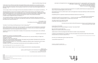Last week my therapist told me I was depressed. She also told me I was beautiful. I don't know which affirmation I needed more. Tbh that was pretty unprofessional Is it sick I get off on the white validation? Maybe I should get a Black therapist? No, I'm good

My therapist told me, a phrase I thought was reserved for my wealthy white friends who weaponized their years of psychoanalysis against me is now mine.

I don't think you're a bad person ... I just think it's hard for you to be good to me It hurts to hurt other people. As black women we are constantly made to empathize with our captor body mind social

My therapist told me to try white noise to calm my thoughts. But I have been listening to white noise all day. It's time to tune in.

Empathizing with my oppressor (external and internal) is hard but not new to me.

You love me so you treat me like shit because you know you don't deserve my love. I love you because I hate myself.

In your story I'm the villain. My therapist told me to locate feelings in my body—"how does it feel?"

But I can't feel my body right now. Maybe once I locate my body I will remember.

I asked what my friend was diagnosed with before her death. It was schizophrenia.

You slap me and I try to make you laugh. A kiss with a fist is better than none. 34

A definite oversimplification but I imagine one voice, the lowest voice, became louder than all the others. Drowned them out. Drew her away from us.

Drew Drowned Drew Drowned Drew Drowned

So now I try to make peace with my duet. My chorus.

"Love will find a way home." <sup>35</sup>

34. Florence + the Machine. "Kiss With a Fist" 35. Patricia Satterwhite, "Love Will Find a Way Home."

27. Ibid.

28. Ibid. 29. *Citizen* saved me in college and was the first book that saw the academic fuckery I endured. I wonder if Claudia Rankine would hate me and my blond braids?

While I still find beauty in black rage, see it as productive, I can also see how it is restricting. An oppressive and depressive space to work from. I see the softness in Toni, Octavia, Audre and Saidiya's wayward girls where previously I could only empathize with the madness.

30. Rhizome interview with E. Jane.

31. Ibid.

32. Carolyn Lazard, *Consensual Healing*, 2018, HD Video, 14 min 43 secs.

33. Death Becomes Her.

Celie in the office Shug in the club

The banality of evil. The insidious force that causes one to unravel. Capable and culpable.

"I think about how softness is generally used against Black people, especially by one another, because we're told we have to be hard to survive. I think that sometimes that hardness inadvertently kills/harms us because that kind of repression—like unreleased cortisol from not crying—has actual negative effects on the body . . ." 27

"I am so angry, I have so much rage, but it becomes physically unhealthy for me to express it sometimes . . ."  $^{28}$ 

"Working tirelessly to prove one's humanity as a Black person is also known as John Henryism, which Claudia Rankine discusses in her innovative work, *Citizen*. In the book she describes it." Sitting there staring at the closed garage door you are reminded that a friend once told you there exists a medical term—John Henryism—for people exposed to stresses stemming from racism. They achieve themselves to death trying to dodge the build up of erasure.'" 29

Octavia's characters from "Bloodchild" to Parable of The Sower take on the world's pain. Carry multitudes within them.

*I should have finished that book.*

Facilitator: Ok, I hear you. Let's start over again.

"It's not passive resistance, but rather just as evil has gotten banal, maybe Black rage has to get soft to compete. Like how Judith must've been in the bible story where she convinces Holofernes to let her in his tent before she cuts off his head." 30

Client: I'm having trouble remembering to be honest. Every time I try, I just see nothing, no image, but I remember how it felt.

Facilitator: Ok, well, can you tell me?

"Honestly, I'm just trying something because I have to keep going." 31

Client: Sure. I just remember feeling confused. I felt deeply loved and deeply mistreated at the same time. Facilitator: Ok. Why do think you felt that way?

Client: Something changed in me. I was trying to navigate two different ways of seeing the world. It was a moment of transition.

*I just started therapy and I cry in every session and it's lit. I love it.*

When I was younger I asked my mom to go to therapy and she told me I was being dramatic.

Facilitator: Even if you can't remember the whole story, tell me the details you remember. 32

Maybe I was. I grew up with the glamor and melodrama of Goldie and Meryl. <sup>33</sup> It was my time. I'm a white woman. Address me as such.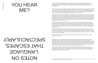And if looping is seamless repetition—a connecting of the end back to the beginning—what can we learn about what it means to start where others have without restarting? What can we learn about returning without going back? How can we talk about nonlinear progress, where "starting" is also a continuance?

Here, a loop can be an echo splicing, flipping, and folding sound in on itself to reveal the b-side of language. Take, for example, the lyrical repetition in "Belly of the Wail"—a freedom song conceptualized for *Beneath Tongues* by composer Tariq Al-Sabir, artist and vocalist Freddie June, and Sable Elyse Smith, the exhibition's curator. The three-part composition begins and ends with a sort of hymn and recitation performed by June—encircling us in a potentially infinite cycle with her voice and its ghosts.

In this way, "Belly of the Wail" is also a tuning that breaks open our performance of listening. I reach for that which is beside what is being said, for the unspeakable but not unknowable. Within and beyond the accumulation of individual words reverberate feelings of hope, despair, confusion, ascension. It's all there yet the sensation disappears if I try to pin it down. I am left with only the option to surrender to the motion of the song as I ride the blinds. 1

"Here I go again," sings June, "losing sight of beginning and end." Her words call me in, make me wonder. She sings them once more (x4). Leaving so much unspoken (what does uttering even do?), deferred (and somehow more real?), June builds a tension that propels our listening so that we may linger, expecting a new revelation. We remain, listening again, so that the looping of the sound becomes an exhumation. I am compelled to listen hard for meaning in the depth of an exhale or the length of a silence as in discernable language. With each repetition, I am reminded that the human body is also an instrument, that words—at their core—are a type of sound it plays.

This steady drip of language is joined by a chorus of other voices in an improvised dance: mounting, peaking, and falling. By the time we as listeners are brought back to Freddie June's singular voice in the third act, we find that the trajectory of the piece is neither a straight line nor a circle, but a spiral. "Where are my children," she sings again, this time elongated, a bit louder, so we have to sit with the resonance. As words come in and out of focus, the lyrics—which at first seemed central to the piece—shake loose of any static meaning.

## YOU HEAR ME?

And how funny it is that language can disintegrate into noise and reemerge with new meaning. How slippery that truth feels.

II.

Steffani Jemison, too, luxuriates in the possibilities that exist between what is shared and not shared through language. The thickly painted marks suspended on transparent film in Jemison's *Same Time* installation operate between glyphs from an unknown alphabet and automatic drawings. Draped languidly off the wall and over a plinth, the marks recall ancient cave paintings or a grandmother's writing scrawled on the back of an envelope. With a slight change in perspective the curved lines become a wormhole or a portal that crosses time. They form a map with no key and no destination—meant to be contemplated, observed, explored but never flattened enough to be summarized or surmised.

Broad, opaque vestiges of her touch, the black spirals are a manifestation of her laborious study of cryptograms by historic figures whose writings elude being deciphered to this day. In reinscribing their graphemes, chasing the logic they created where others saw a lack, Jemison extracts an embodied knowledge from the practices of fugitives.

NO SELON LANGUAGE THAT ESCAPES, SPECTACULARLY

but "[d]oggedly following one's interests without fixating on their outcome."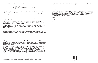….

Let me start with what I know.

And how beautiful that we can imagine ourselves in and out of form. Even a form so ubiquitous as language. That even though I only have the oppressor's language to touch you through, here, we can make it do what we want it to do: bust it open, make it leak. 4

I know that language often fails and that in that failure it supersedes. That even now as I try to touch you through this language, it chews my tongue and shuns my mother. I reach for you still because the state will never serve us and so why not start with this one touch. I am reaching to say let's write ourselves everywhere, even if only for ourselves, even if only to acknowledge the swagger. I am writing hoping that you might feel me from there, from elsewhere.

Here I am.

Here I go.

Again.

For Jemison, as with so many of us that live with the weather and swim in the wake, $^3\,$  the unimagined leads away from oppressive structures to a wild beyond. And within that movement toward liberation, drawing and withdrawing are tools for subverting a capitalist urge for consumption and ownership.

In Jemison's conception, drawing and writing are a reconfiguring of time through splicing and replaying language. Writing or drawing, whichever name we give it, is less about the evidence of meaning and instead about conjuring what is yet to be imagined. The process of abstracting and extrapolating is a way of seeing things through other things. Remaining fixated in her pursuit of these ciphers while not seeking to fully understand or dominate them allows for new possibilities, different worlds. It is a poetics of relation, an intimacy, where we can think collectively without speaking for others.

And maybe it's about connection and maybe it's about protecting mines and maybe it's about understanding or maybe it's about hiding or shielding or refusing. Maybe it just is. Maybe it's just about looking hard and through and around until something clicks.

Here, a loop takes a line, opens it, holds it open long enough for one to go through, move on, go out. Here, whether we are knowing or unknowing makes no difference. Here, freedom is just on the other side of our desire to understand, to master.

III.

Made of a repurposed crowd-control barricade and concrete-soaked terry cloth, Nikita Gale's *WATCH MEEEEEE* displaces an authoritative structure into the gallery space so that we can reconsider who or what is captive as well as where captivity is evaded.

The rigidity and shape of the metal bars are ubiquitous symbols of authority. Used in concert spaces and rallies, school halls and entryways, these forms are meant to control movement and energy in instances where unruliness is anticipated. They are a preemptive response to threats (of uprising, of wildness, of overthrow). Instant dividers of bodies and space, they demarcate and define what is forbidden and what is sanctioned.

Yet here again there is a suggestion of escape. In displacing these objects from their intended spaces and shifting their purpose, Gale puts viewers in a position of having to reconstruct the sociocultural meaning of this institutional artifact. The ultimate power is with each individual viewer, and the artist herself, to reestablish their relationship to the material. Ensnared in sound-dampening fabric, the original purpose of the structures is refused.

This is not to say that the sculpture entirely strips the barricade of its dominance. *WATCH MEEEEEE* and *RUINER VIII* hold our gaze, tell us where to stand, how to look, or at least suggest that we think of where and how to do so. Beyond that, what the matrix of cloth visualizes is how deeply enmeshed authority is with subjection, structure with free form. Looking up through the folds and rungs of *RUINER VII*, we see the once-flexible fused with the aluminum of the original structure, becoming indistinguishable from but forever changing its shape. The soft but firm hold of the fabric suggests there are ways of incapacitating violent structures without entering into conflict with them (or producing more violence).

I am thinking about what happens when writing is decoupled from communication, or when it is deliberately encoded. I am thinking about automatic drawing and speaking in tongues and spirit writing. I am thinking about technologies of representation and transcription as symbolic systems from which we are periodically compelled to escape. 2

2. There is so much in *"STEFFANI JEMISON: ON THE STROKE, THE GLYPH, AND THE MARK."* This can be a start.

3. If you don't know, now you know: ISBN 9780822362944.

4. Here I am thinking about bell hooks and our shared appreciation for Adrienne Rich's poem "The Burning of Paper Instead of Children."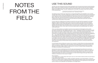July 2021. One and a half years into the COVID-19 pandemic and one year since America's racial reckoning. Black creators are on strike to protest the constant theft of their content by white users and corporations. Where is this happening? TikTok: a video-based social networking app. The sound in question? Rapper Megan Thee Stallion's single "Thot Shit," released prior to the strike. The results of which are summed up in the following tweet:

The global success of TikTok has made issues of cultural appropriation and exploitation more complex. The app relies heavily on both the creation and circulation of video content, as well as sound. At the bottom of every post is a music symbol that identifies the name and/or source of the sound that accompanies a video. Oftentimes it's the song title and artist name, other times it's the name of a TikTok user's account. When an app user clicks the sound that accompanies a post, it takes them to a page where the "Original Sound" appears among each and every post that has recycled that sound, with a prompt to "Use this Sound" at the bottom of the screen.

In some cases, the "Original Sound" has been removed from the user that first uploaded it to the app's database, making it impossible to trace it back to its source. Similar to the way memes and reaction images circulate on other social media apps, on TikTok, all sounds are fair game, free to be remixed in whatever ways app users see fit. Because of this, it's not uncommon for Black comedic content to be adopted and recirculated. Users sometimes leave comments under a post asking the sound's author to "Please make this a sound," which aids in the sound's dissemination and resulting virality. Let's call this "sonic democracy."

TikTok user @khaenotbae (a young Black woman) is a key example of what happens when certain sounds are removed from their original context and used by thousands of white and non-Black accounts. Her catchy one-liners like, "The girls that get it, get it . . ." and ". . . don't fight me cause I know how you girls like to tussle" have made it to almost every corner of the internet. She has directly addressed this phenomenon in a video post saying, "I make all my content for Black people. Period. Black. Not people of color. But if I would have got on here and said explicitly, 'don't use XYZ sound' they would have flooded that shit . . ." Here, Khae points directly to the primary consequence of TikTok's sonic democracy and acknowledges the risk in trying to regulate who can use what she creates. In some ways, she understands that due to the democratic nature of the internet, she doesn't actually have the agency to mitigate the use or circulation of her own content, even if someone else could be credited for its virality. When this removal does happen (and there have been numerous instances), the content's impact is attributed to whichever non-Black user has appropriated sound, and they are rewarded with likes and continued circulation. TikTok has now become a domain where trying on Blackness (via memes or mimicry) is built into the user experience.

In a world where views and likes are currency, the conundrum of white influencers being rewarded with millions of hits for co-opting Black content has taken cultural appropriation to a new level. Sound, in this case, is an extension of Black culture and calls to the fore very important questions about circulation. Whether it's the direct usage of AAVE or mannerisms for memes, non-Black people using Blackness for virality is an extension of colonial practice.

How can we come to understand sound (in this case voice/language/tone/cadence) as not only an expression of culture but an extension of one's self? What does it mean when a mega-social media app like TikTok is built to enable digital blackface? Despite its comedic intention, how can the co-option of these sounds not be seen as racist performance or mintrelsy? What does it mean for a sound, a voice, a specific articulation of a catchy or comical phrase, to move freely throughout this app? What are the methods or structures for the consent of usage?

More questions:

1. How might it feel if a widely played video game uses your twin brother's likeness without his permission? Is your anger just as visceral?

2. What are the legal consequences for digital colonization (blackface, sound appropriation, movement theft, etc.) in a nation whose constitution declared Black people three-fifths human? How would they exist? 3. How, if at all, is one able to quantify Blackness in a way that allows it to be supported by a structure that works to disrupt commodification and exploitation in the digital realm?

"Yt people have no idea what to do with this sound because a black person hasn't made a dance to it yet." - @jinniessza on Twitter

# NOTES FROM THE FIELD

### USE THIS SOUND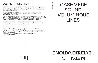### LOST IN TRANSLATION

fin.

# METALLIC **REVERBERATIONS**

## CASHMERE SOUND, VOLUMINOUS LINES,

April 2021. TikTok announces the rollout of auto-captions. The feature generates subtitles with the goal to enhance content access and context for users who are deaf or hard of hearing. Although TikTok relies on sound circulation, a burgeoning community of app users is working to normalize its absence. Folks like @itscharmay, @slntwrlddd, @bree.k.jones, and many more have brought awareness to the beauty and nuance of American Sign Language.

ASL employs the hands, the face, and the body to be spoken. It's a distinct language that has been misconceived as a direct translation of American English, and like all languages, it is constantly evolving with dialects that exist within.

Kim is also on Tik Tok and has used the app to share her experiences with ASL and motherhood. In an exercise for *Pop-Up Magazine*, she discussed the problem with closed captions and sound. Unlike captioning dialogue, caption writers (usually hearing) miss the opportunity to make descriptions of sound accurate. Kim emphasizes the potential for clearer translation by focusing on the intimate nature of interpretation and the poetic potential of describing sound.

As a sound artist, Christine Sun Kim's work has provided considerable insight on issues of translation and interpretation. Incisive drawings like *Sorry Not Sorry, Sorry Zero,* (2018) illustrate the distinctions between English and Deaf English in a series of phrases. "You don't deserve my respect" in English is distilled as "Respect zero" in Deaf English and "Zero fucks given" becomes a straightforward "Discuss dry."

More and more questions:

- 1. Why is ASL, a 200-year-old language, not required as primary education?
- 2. What are the direct parallels between African American Vernacular English and Black American Sign Language (which traces its origins back to the 1800s)?
- 3. What does it mean that the first American school for the deaf waited 135 years before it admitted Black students? How has this silence and erasure fortified the education gap that continues to inhibit the potential of communication?

4. Does co-option of Black slang or movement also exist within a signed dialect? What about code-switching?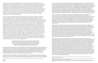At first glance, Jennie C. Jones, Abigail DeVille, and Lauren Halsey appear to deploy divergent visual strategies. DeVille and Halsey are well versed in the language of a kind of maximalism, while Jones adopts and intervenes upon a minimalist aesthetic. Jones presents the spatial capacity of listening where she offers spaces of absorption, deceptively quiet modes of Black life. DeVille creates lifeworlds filled with dedications to noise, the possibility embedded within layers and layers of the stuff that composes everyday Black life. Halsey mobilizes a uniquely recombinant aesthetic, arranging and rearranging aspects of minimalism and maximalism to activate an ongoing palimpsest of self and collective. What I propose here, however, is that these artists offer up the compositional materialities of Black life as they play out in modes of embodied encounter. The viewer is made composer as these artists open up a space of interplay, a mode of improvisational collaboration that centers the quiet multitudes and aesthetic polyphonies that form Black creative practice.

Part of what informs this particular take on DeVille and Jones is an attention to yet another duet within the visual and sonic registers of modernism, that of Aaron Douglas and Duke Ellington. I am taken by Robert O'Meally's essay "The Flat Plane, the Jagged Edge: Aaron Douglas's Musical Art," where he brilliantly argues that Douglas's Harlem Renaissance paintings generate a decidedly avant-garde notion of a jazz painting, where the artist's attention to shape, texture, form, color embarks upon a direct engagement with the sonic registers of sound that were also taking shape in 1930s jazz worlds. O'Meally goes on to note how "for art, literature, and music, the modern moment was, in a sense, a moment of radical flatness." <sup>1</sup> Flatness, in this regard, is a sonic and visual strategy that motivates attention to the compositional plane. O'Meally goes on to connect Douglas's compositions to those of famed composer Duke Ellington. Of Ellington, O'Meally combines the sonic and visual descriptions, giving us a haptic sense of how the texture of Ellington's sound wraps around the listener such that we are given a sense of flatness not as a rigid, sterile sound but rather a "surface of a perfect gemstone, and as liquidly smooth as cashmere and silk." Ellington's compositions were "known not only for his magnificently smooth and flat walls of sound but also for his roughed-up surfaces, his jagged edges." <sup>2</sup> "No early jazz orchestra experimented more with plungers and mutes than Ellington's," writes O'Meally, "as he sought these textures of sound that varied the sonic weave of his compositions—the jaggedly edged contrasting with the unerringly smooth."  $^3$  This pairing of two seemingly conflicting terrains—the jagged and the smooth—are but two complementary innovations of flatness. That same silky sound is achieved even in the most unpredictable eruptions of sound; the jagged edge still feels like cashmere. The visuals in O'Meally's descriptions are striking and they visualize Ellington's sound, just as O'Meally transposes Douglas's work from visual to sonic.  $\rm 4$  Speaking about Aaron Douglas's *Emperor Jones* series, O'Meally writes:

1. Robert G. O'Meally, "The Flat Plane, the Jagged Edge: Aaron Douglas's Musical Art," American Studies [ital.] 49, no. 1/2 (Spring/Summer 2008): 30. 2. Ibid, 31. 3. Ibid. 4. Ibid. 30.

5. Ibid. 32.

Douglas creates a surface tension by motivating his line to give dimension where there is seemingly no space for it. His lines do a lot of work, they give you depth in addition to differentiating between spaces and times. This depth, this volume as Bearden so eloquently names, is but an engagement with what appears at first as a flatness that simply rests on the surface. Instead, Douglas's compositions give dimension through the appearance of jagged edges. His is the visual volume that Ellington denotes sonically through his seemingly flat walls of sound. Both Douglas and Ellington let their lines walk, even run, calling attention to the composition of the visual and sonic plane as an act of generosity.

The line works overtime in Jennie C. Jones's compositions too. *Corner Phrase Soft Measure* (2020) is a two-part acrylic on canvas work. As the title suggests, this is a corner piece, installed so that a 12-by-36-inch canvas sits perpendicular to a larger 48-by-36-inch canvas, forming a 90-degree angle where the two canvases intersect.

If Jones invites an attunement toward the nuances of the line as both a visual and sonic register, then A bigail DeVille's work spins us into the vortex of dimensionality at a scale that surrounds, envelops, and consumes the viewer. Inspired by three-dimensional models of the Helix Nebula, DeVille invites the viewer to travel into a space of enclosure. The work is composed of steel armature, aircraft cable, chicken wire, zip ties, metallic gold thread, various metal wire, aluminum foil, reflective plexiglass, mirror shards, archival images of the 1960s–'70s, a disarticulated resin skeleton, black latex paint—a generous and abundant form, attracting the viewer's eye to multiple places at once. This overwhelm produces not an anxiety but an embrace, as these forms, structures, and objects envelop the viewer into multiplicity. Mirror shards invite the viewer to catch glimpses of herself in fractured pieces, archival images transport us to a time of both turmoil and radical possibility, threads and wires form lines that gesture toward astrological folds. We are in the stars. We are in the spatial void as a site of potential emergence, a renewed form of making. This is a kind of a sound bath that is purely visual, where the imaginative silence of being in outer space is punctured by breath and air that hums.

Note in particular the work's flatness, as usual with Douglas, but also the way the wavy and jagged images grant the work a third dimension: an edge one imagines could swing out, sculpturally, from the flattened plane. Douglas used these sharply edged lines—often occurring in foliage but also in skylines and elsewhere—to turn the roughed surface to its side, to create a lateral jaggedness. In this way, without laying his flat images (as [Romare] Bearden would do), Douglas gave his work what Bearden called—in another fascinating cross-media term—a sense of volume. 5

8. I am so indebted to Sable's brilliant notes on this essay, including two mind-blowing comments that have developed my readings of Lauren Halsey's art.

"Cheetos Flamin' Hot Made Me Who I Am," *New York Times*, February 8, 2022, https://www.nytimes.com/2022/02/08/magazine/cheetos-crunchy-flamin-

The work asks us to consider the architecture of sound, as both canvases lead us to consider how rooms are composed as sonic chambers, posing questions about what it means to both make and listen for sounds. This work features Jones's signature mark, that Barnett Newman–esque zip line she so effortlessly combines with the quiet multiplicity of minimalism. If minimalism is to some large degree about questions of reproducibility, repetition, and the ubiquity of such multiplicities within capitalist modes of production, then Jones's twist on minimalism offers up how such multiplicities are transformed into insurgent collectives who work in the quiet corners and backgrounds of everyday life. Jones interrupts those very formal art histories that exclude Black American innovative traditions across genres, including those contributions made to abstraction by figures like Douglas and Ellington. Jones's line rips through the picture plane as a poetic rupture, a steady and leveled chromatic shout that is as smooth as Ellington's cashmere and as dimensional as Douglas's lateral turn. As in Douglas's work, Jones's line also takes shape as volume.

Jones's contribution to the question of volume is a vibrant engagement with what it means to listen. *Corner Phrase/Soft Measure* is an example of what Nijah Cunningham has called Jones's invitation "to lend an ear to the unheard that resonates in and beyond the white cube. Hers is an appeal to what many cannot or refuse to hear and that can only be gleaned from the sensation of standing in a hollow and climate-controlled room." 6 Cunningham poetically names what Jones is asking of the viewer a certain "attunement." 7 Attunement, an act of self-reflexivity in which the viewer transforms herself into listener, articulates the work done within Jones's compositions. Their functions as absorptive technologies are counterintuitive, as these canvases work to invite the viewer in to a relational engagement—one that centers the relationship between seeing and listening, loudness and quietude, smooth lines and cashmere notes.

When we stand in the awe of the cosmos that surrounds us, static and white noise compose our soundtrack, those comforting noises that surround us but do not overwhelm us. DeVille's cashmere sound is the cosmological enclosure, another location entirely that reminds us of a home we have yet to know. The artist's jagged line is transformed into (at least) three-dimensional folds, a drawing in space/time that gives us pause so that we can look and listen for what, or where, comes next. I want to end with Halsey's works as the future of that Ellington sound, that Douglas line. If Ellington's cashmere sound is at play in Jones and Douglas's line transforms into surround sound in DeVille, then Halsey's work is absolutely what artist and curator Sable Elyse Smith calls "when jazz jumps to funk." <sup>8</sup> Indeed, both of Halsey's works are relief sculptures that compositionally cite glyphs. One work is a monochrome clay-cream panel, engraved to resemble a brick wall. Halsey intervenes on the wall's surface in order to capture the dynamic interplay between the personal and the financial that often takes place on city walls, where various constituents are leaving their marks with the hopes to be seen, to be heard. The artist includes engraved posters that clutter the relief's surface along with handwritten interventions of names, neighborhoods, and affections scratched into the wall's surface. These details compose a familiar surface, where the viewer can all but hear cars and buses zoom by, imagine the storefront entry just to the right of the DRU HILL SILK TOTAL poster, and see neighborhood kids out front eating Cheetos Flamin' Hot after school. <sup>9</sup> This relief is accompanied by a decadently maximalist work, a silver metallic structure filled with bold neon text, luminous source images, and palm fronds.

<sup>6.</sup> Nijah Cunningham, "Fractured Crescendo, Rest," black one shot 16.2, https://asapjournal.com/16-2-fractured-crescendo-rest-nijah-cunningham/#easy-footnote-bottom-3-6873. 7. Ibid.

Sable Elyse Smith, correspondence with author, February 14, 2022. 9. Summer Kim Lee's poetic reflection on Hot Cheetos, race, and Los Angeles is all I can think of when I see these Halsey works. Summer Kim Lee, hots.html.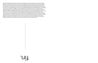Vertically organized, painted letters read "HIGHLY FAVORED," as '90s supergroup Dru Hill makes another appearance, this time in a black and pink concert advertisement that one might see strewn along major roads in Los Angeles. Other source images include Egyptian pharaoh masks glued onto figures in jeans and sneakers, a young Black person in deep contemplative thought framed by plastic palm fronds, cars with clean rims, an illustrated cutout of a DJ, a UFO beaming light, a figure with a Nike swoosh in their fade, to name but a few. And here again we have those signature scratches onto the metallic surface of the wall: names, places, affections, affiliations, and beautifully incomprehensible line work. In Halsey's hands, Douglas's jagged lines belong to those who mark their presence in this way, by declaring that this wall is theirs too. Smith has suggested that maybe Halsey's "cashmere is a crush velvet maybe even a velour," and I believe her. In fact, I see it and hear it. Halsey's reliefs are absorbent and embracing like those Juicy Couture velour track sets in luscious reds and pinks that accompanied pop and hip-hop videos on MTV. These two works come together to offer up a sound made possible by jazz turned funk, where the rhythm takes precedence such that the listener can't help but move. Indeed, hip hop is here too as that very funk is sampled in loops and break beats that remind us of a past not so far from the present, just like those pharaohs that beam up into space like Sun Ra or Pharoah Sanders told us they did. We're moved by the relief these reliefs offer as a place where we can remember to be right where we are.

fin.